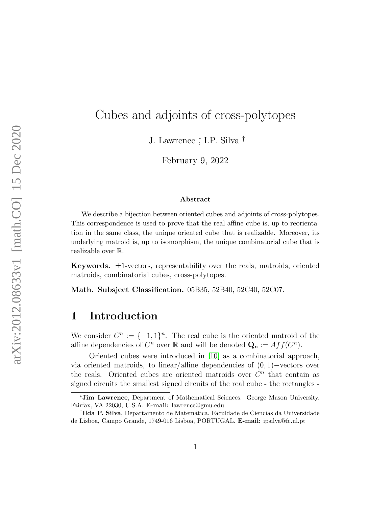# Cubes and adjoints of cross-polytopes

J. Lawrence <sup>∗</sup> , I.P. Silva †

February 9, 2022

#### Abstract

We describe a bijection between oriented cubes and adjoints of cross-polytopes. This correspondence is used to prove that the real affine cube is, up to reorientation in the same class, the unique oriented cube that is realizable. Moreover, its underlying matroid is, up to isomorphism, the unique combinatorial cube that is realizable over R.

**Keywords.**  $\pm 1$ -vectors, representability over the reals, matroids, oriented matroids, combinatorial cubes, cross-polytopes.

Math. Subsject Classification. 05B35, 52B40, 52C40, 52C07.

# 1 Introduction

We consider  $C^n := \{-1,1\}^n$ . The real cube is the oriented matroid of the affine dependencies of  $C^n$  over  $\mathbb R$  and will be denoted  $\mathbf{Q}_n := Aff(C^n)$ .

Oriented cubes were introduced in [\[10\]](#page-22-0) as a combinatorial approach, via oriented matroids, to linear/affine dependencies of (0, 1)−vectors over the reals. Oriented cubes are oriented matroids over  $C<sup>n</sup>$  that contain as signed circuits the smallest signed circuits of the real cube - the rectangles -

<sup>∗</sup>Jim Lawrence, Department of Mathematical Sciences. George Mason University. Fairfax, VA 22030, U.S.A. E-mail: lawrence@gmu.edu

<sup>&</sup>lt;sup>†</sup>Ilda P. Silva, Departamento de Matemática, Faculdade de Ciencias da Universidade de Lisboa, Campo Grande, 1749-016 Lisboa, PORTUGAL. E-mail: ipsilva@fc.ul.pt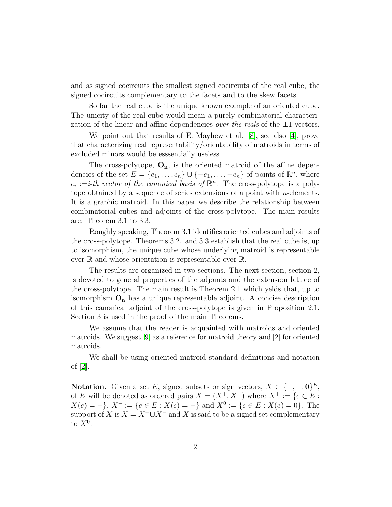and as signed cocircuits the smallest signed cocircuits of the real cube, the signed cocircuits complementary to the facets and to the skew facets.

So far the real cube is the unique known example of an oriented cube. The unicity of the real cube would mean a purely combinatorial characterization of the linear and affine dependencies *over the reals* of the  $\pm 1$  vectors.

We point out that results of E. Mayhew et al. [\[8\]](#page-22-1), see also [\[4\]](#page-22-2), prove that characterizing real representability/orientability of matroids in terms of excluded minors would be esssentially useless.

The cross-polytope,  $O_n$ , is the oriented matroid of the affine dependencies of the set  $E = \{e_1, \ldots, e_n\} \cup \{-e_1, \ldots, -e_n\}$  of points of  $\mathbb{R}^n$ , where  $e_i := i-th$  vector of the canonical basis of  $\mathbb{R}^n$ . The cross-polytope is a polytope obtained by a sequence of series extensions of a point with n-elements. It is a graphic matroid. In this paper we describe the relationship between combinatorial cubes and adjoints of the cross-polytope. The main results are: Theorem 3.1 to 3.3.

Roughly speaking, Theorem 3.1 identifies oriented cubes and adjoints of the cross-polytope. Theorems 3.2. and 3.3 establish that the real cube is, up to isomorphism, the unique cube whose underlying matroid is representable over  $\mathbb R$  and whose orientation is representable over  $\mathbb R$ .

The results are organized in two sections. The next section, section 2, is devoted to general properties of the adjoints and the extension lattice of the cross-polytope. The main result is Theorem 2.1 which yelds that, up to isomorphism  $O_n$  has a unique representable adjoint. A concise description of this canonical adjoint of the cross-polytope is given in Proposition 2.1. Section 3 is used in the proof of the main Theorems.

We assume that the reader is acquainted with matroids and oriented matroids. We suggest [\[9\]](#page-22-3) as a reference for matroid theory and [\[2\]](#page-21-0) for oriented matroids.

We shall be using oriented matroid standard definitions and notation of [\[2\]](#page-21-0).

**Notation.** Given a set E, signed subsets or sign vectors,  $X \in \{+, -, 0\}^E$ , of E will be denoted as ordered pairs  $X = (X^+, X^-)$  where  $X^+ := \{e \in E :$  $X(e) = +\}, X^- := \{e \in E : X(e) = -\}$  and  $X^0 := \{e \in E : X(e) = 0\}.$  The support of X is  $\underline{X} = X^+ \cup X^-$  and X is said to be a signed set complementary to  $X^0$ .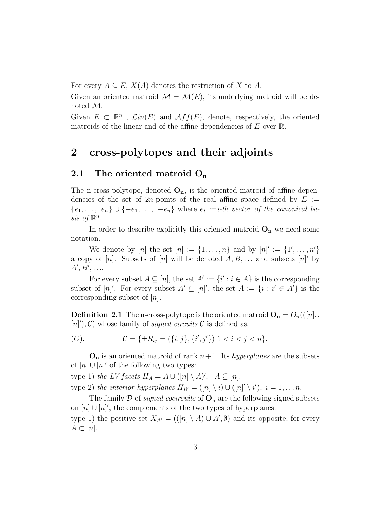For every  $A \subseteq E$ ,  $X(A)$  denotes the restriction of X to A.

Given an oriented matroid  $\mathcal{M} = \mathcal{M}(E)$ , its underlying matroid will be denoted  $M$ .

Given  $E \subset \mathbb{R}^n$ ,  $\mathcal{L}in(E)$  and  $\mathcal{A}ff(E)$ , denote, respectively, the oriented matroids of the linear and of the affine dependencies of  $E$  over  $\mathbb{R}$ .

# 2 cross-polytopes and their adjoints

#### 2.1 The oriented matroid  $O_n$

The n-cross-polytope, denoted  $O_n$ , is the oriented matroid of affine dependencies of the set of 2n-points of the real affine space defined by  $E :=$  $\{e_1, \ldots, e_n\} \cup \{-e_1, \ldots, -e_n\}$  where  $e_i := i$ -th vector of the canonical basis of  $\mathbb{R}^n$ .

In order to describe explicitly this oriented matroid  $O_n$  we need some notation.

We denote by [n] the set  $[n] := \{1, ..., n\}$  and by  $[n] := \{1', ..., n'\}$ a copy of  $[n]$ . Subsets of  $[n]$  will be denoted  $A, B, \ldots$  and subsets  $[n]'$  by  $A', B', \ldots$ 

For every subset  $A \subseteq [n]$ , the set  $A' := \{i' : i \in A\}$  is the corresponding subset of  $[n]'$ . For every subset  $A' \subseteq [n]'$ , the set  $A := \{i : i' \in A'\}$  is the corresponding subset of  $[n]$ .

**Definition 2.1** The n-cross-polytope is the oriented matroid  $\mathbf{O}_n = O_n((n] \cup$  $[n]$ ,  $\mathcal{C}$ ) whose family of *signed circuits*  $\mathcal{C}$  is defined as:

(C). 
$$
\mathcal{C} = \{ \pm R_{ij} = (\{i, j\}, \{i', j'\}) \mid 1 < i < j < n \}.
$$

 $O_n$  is an oriented matroid of rank  $n+1$ . Its *hyperplanes* are the subsets of  $[n] \cup [n]'$  of the following two types:

type 1) the LV-facets  $H_A = A \cup ([n] \setminus A)'$ ,  $A \subseteq [n]$ . type 2) the interior hyperplanes  $H_{ii'} = ([n] \setminus i) \cup ([n]' \setminus i'), i = 1, \ldots n.$ 

The family  $\mathcal D$  of *signed cocircuits* of  $O_n$  are the following signed subsets on  $[n] \cup [n]'$ , the complements of the two types of hyperplanes: type 1) the positive set  $X_{A'} = ((n] \setminus A) \cup A', \emptyset)$  and its opposite, for every  $A \subset [n]$ .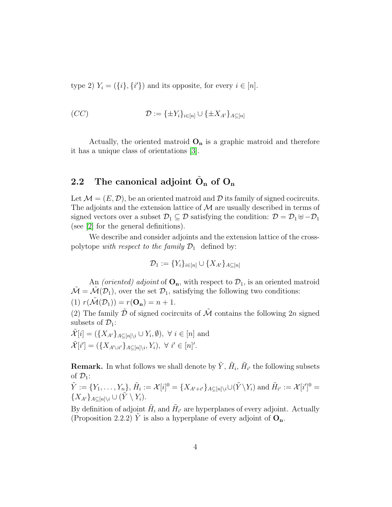type 2)  $Y_i = (\{i\}, \{i'\})$  and its opposite, for every  $i \in [n]$ .

(CC) 
$$
\mathcal{D} := {\pm Y_i}_{i \in [n]} \cup {\pm X_{A'}}_{A \subseteq [n]}
$$

Actually, the oriented matroid  $O_n$  is a graphic matroid and therefore it has a unique class of orientations [\[3\]](#page-21-1).

# 2.2 The canonical adjoint  $\tilde{\text{O}}_{\text{n}}$  of  $\text{O}_{\text{n}}$

Let  $\mathcal{M} = (E, \mathcal{D})$ , be an oriented matroid and  $\mathcal D$  its family of signed cocircuits. The adjoints and the extension lattice of  $M$  are usually described in terms of signed vectors over a subset  $\mathcal{D}_1 \subseteq \mathcal{D}$  satisfying the condition:  $\mathcal{D} = \mathcal{D}_1 \oplus -\mathcal{D}_1$ (see [\[2\]](#page-21-0) for the general definitions).

We describe and consider adjoints and the extension lattice of the crosspolytope with respect to the family  $\mathcal{D}_1$  defined by:

$$
\mathcal{D}_1 := \{Y_i\}_{i \in [n]} \cup \{X_{A'}\}_{A \subseteq [n]}
$$

An *(oriented)* adjoint of  $O_n$ , with respect to  $\mathcal{D}_1$ , is an oriented matroid  $\tilde{\mathcal{M}} = \tilde{\mathcal{M}}(\mathcal{D}_1)$ , over the set  $\mathcal{D}_1$ , satisfying the following two conditions:

(1)  $r(\tilde{\mathcal{M}}(\mathcal{D}_1)) = r(\mathbf{O}_n) = n + 1.$ 

(2) The family  $\tilde{\mathcal{D}}$  of signed cocircuits of  $\tilde{\mathcal{M}}$  contains the following 2n signed subsets of  $\mathcal{D}_1$ :

 $\tilde{\mathcal{X}}[i] = (\{X_{A}\}_{A\subseteq[n]\setminus i} \cup Y_i, \emptyset), \ \forall \ i \in [n] \text{ and }$  $\tilde{\mathcal{X}}[i'] = (\{X_{A' \cup i'}\}_{A \subseteq [n] \setminus i}, Y_i), \ \forall \ i' \in [n]'$ .

**Remark.** In what follows we shall denote by  $\tilde{Y}, \tilde{H}_i, \tilde{H}_{i'}$  the following subsets of  $\mathcal{D}_1$ :

$$
\tilde{Y} := \{Y_1, \ldots, Y_n\}, \tilde{H}_i := \mathcal{X}[i]^0 = \{X_{A'+i'}\}_{A \subseteq [n] \setminus i} \cup (\tilde{Y} \setminus Y_i) \text{ and } \tilde{H}_{i'} := \mathcal{X}[i']^0 = \{X_{A'}\}_{A \subseteq [n] \setminus i} \cup (\tilde{Y} \setminus Y_i).
$$

By definition of adjoint  $\tilde{H}_i$  and  $\tilde{H}_{i'}$  are hyperplanes of every adjoint. Actually (Proposition 2.2.2)  $\tilde{Y}$  is also a hyperplane of every adjoint of  $O_n$ .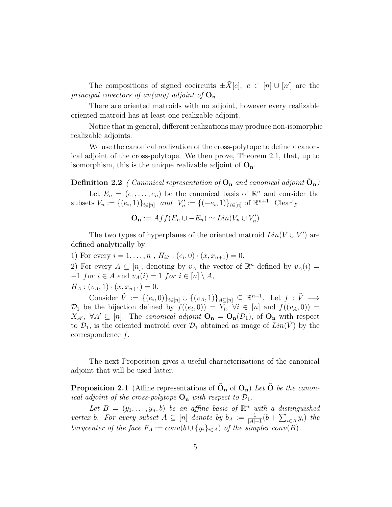The compositions of signed cocircuits  $\pm \tilde{X}[e], e \in [n] \cup [n']$  are the principal covectors of an(any) adjoint of  $O_n$ .

There are oriented matroids with no adjoint, however every realizable oriented matroid has at least one realizable adjoint.

Notice that in general, different realizations may produce non-isomorphic realizable adjoints.

We use the canonical realization of the cross-polytope to define a canonical adjoint of the cross-polytope. We then prove, Theorem 2.1, that, up to isomorphism, this is the unique realizable adjoint of  $O_n$ .

**Definition 2.2** ( Canonical representation of  $O_n$  and canonical adjoint  $\tilde{O}_n$ )

Let  $E_n = (e_1, \ldots, e_n)$  be the canonical basis of  $\mathbb{R}^n$  and consider the subsets  $V_n := \{(e_i, 1)\}_{i \in [n]}$  and  $V'_n := \{(-e_i, 1)\}_{i \in [n]}$  of  $\mathbb{R}^{n+1}$ . Clearly

$$
\mathbf{O_n} := Aff(E_n \cup -E_n) \simeq Lin(V_n \cup V'_n)
$$

The two types of hyperplanes of the oriented matroid  $Lin(V \cup V')$  are defined analytically by:

1) For every  $i = 1, ..., n$ ,  $H_{ii'} : (e_i, 0) \cdot (x, x_{n+1}) = 0$ .

2) For every  $A \subseteq [n]$ , denoting by  $v_A$  the vector of  $\mathbb{R}^n$  defined by  $v_A(i) =$  $-1$  for  $i \in A$  and  $v_A(i) = 1$  for  $i \in [n] \setminus A$ ,

 $H_A$ :  $(v_A, 1) \cdot (x, x_{n+1}) = 0.$ 

Consider  $\tilde{V} := \{(e_i, 0)\}_{i \in [n]} \cup \{(v_A, 1)\}_{A \subseteq [n]} \subseteq \mathbb{R}^{n+1}$ . Let  $f : \tilde{V} \longrightarrow$  $\mathcal{D}_1$  be the bijection defined by  $f((e_i, 0)) = Y_i$ ,  $\forall i \in [n]$  and  $f((v_A, 0)) =$  $X_{A'}$ ,  $\forall A' \subseteq [n]$ . The canonical adjoint  $\widetilde{\mathbf{O}}_{n} = \widetilde{\mathbf{O}}_{n}(\mathcal{D}_{1}),$  of  $\mathbf{O}_{n}$  with respect to  $\mathcal{D}_1$ , is the oriented matroid over  $\mathcal{D}_1$  obtained as image of  $Lin(V)$  by the correspondence f.

The next Proposition gives a useful characterizations of the canonical adjoint that will be used latter.

**Proposition 2.1** (Affine representations of  $\tilde{\mathbf{O}}_n$  of  $\mathbf{O}_n$ ) Let  $\tilde{\mathbf{O}}$  be the canonical adjoint of the cross-polytope  $O_n$  with respect to  $\mathcal{D}_1$ .

Let  $B = (y_1, \ldots, y_n, b)$  be an affine basis of  $\mathbb{R}^n$  with a distinguished vertex b. For every subset  $A \subseteq [n]$  denote by  $b_A := \frac{1}{|A|+1} (b + \sum_{i \in A} y_i)$  the barycenter of the face  $F_A := conv(b \cup \{y_i\}_{i \in A})$  of the simplex  $conv(B)$ .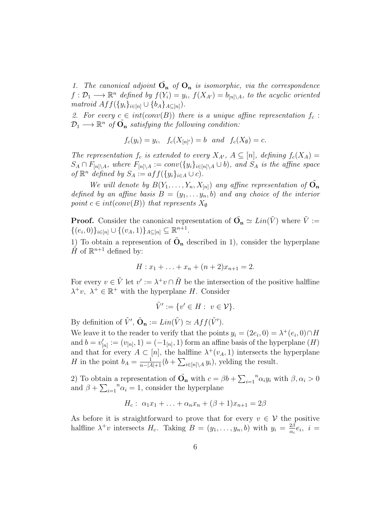1. The canonical adjoint  $\tilde{O}_n$  of  $O_n$  is isomorphic, via the correspondence  $f: \mathcal{D}_1 \longrightarrow \mathbb{R}^n$  defined by  $f(Y_i) = y_i$ ,  $f(X_{A'}) = b_{[n] \setminus A}$ , to the acyclic oriented matroid  $Aff(\{y_i\}_{i\in[n]} \cup \{b_A\}_{A\subseteq[n]})$ .

2. For every  $c \in int(conv(B))$  there is a unique affine representation  $f_c$ :  $\mathcal{D}_1 \longrightarrow \mathbb{R}^n$  of  $\tilde{\mathbf{O}_n}$  satisfying the following condition:

$$
f_c(y_i) = y_i
$$
,  $f_c(X_{[n]'}) = b$  and  $f_c(X_{\emptyset}) = c$ .

The representation  $f_c$  is extended to every  $X_{A'}$ ,  $A \subseteq [n]$ , defining  $f_c(X_A) =$  $S_A \cap F_{[n] \setminus A}$ , where  $F_{[n] \setminus A} := conv(\{y_i\}_{i \in [n] \setminus A} \cup b)$ , and  $S_A$  is the affine space of  $\mathbb{R}^n$  defined by  $S_A := aff(\{y_i\}_{i\in A} \cup c)$ .

We will denote by  $B(Y_1, \ldots, Y_n, X_{[n]})$  any affine representation of  $\tilde{\mathbf{O}_n}$ defined by an affine basis  $B = (y_1, \ldots, y_n, b)$  and any choice of the interior point  $c \in int(conv(B))$  that represents  $X_{\emptyset}$ 

**Proof.** Consider the canonical representation of  $\tilde{\mathbf{O}_n} \simeq Lin(\tilde{V})$  where  $\tilde{V} :=$  $\{(e_i, 0)\}_{i \in [n]} \cup \{(v_A, 1)\}_{A \subseteq [n]} \subseteq \mathbb{R}^{n+1}.$ 

1) To obtain a represention of  $\tilde{\mathbf{O}}_n$  described in 1), consider the hyperplane  $\tilde{H}$  of  $\mathbb{R}^{n+1}$  defined by:

$$
H: x_1 + \ldots + x_n + (n+2)x_{n+1} = 2.
$$

For every  $v \in \tilde{V}$  let  $v' := \lambda^+ v \cap \tilde{H}$  be the intersection of the positive halfline  $\lambda^+ v$ ,  $\lambda^+ \in \mathbb{R}^+$  with the hyperplane H. Consider

$$
\tilde{V}' := \{ v' \in H : \ v \in \mathcal{V} \}.
$$

By definition of  $\tilde{V}'$ ,  $\tilde{\mathbf{O}}_{\mathbf{n}} := Lin(\tilde{V}) \simeq Aff(\tilde{V}')$ .

We leave it to the reader to verify that the points  $y_i = (2e_i, 0) = \lambda^+(e_i, 0) \cap H$ and  $b = v'_{[n]} := (v_{[n]}, 1) = (-1_{[n]}, 1)$  form an affine basis of the hyperplane  $(H)$ and that for every  $A \subset [n]$ , the halfline  $\lambda^+(v_A, 1)$  intersects the hyperplane H in the point  $b_A = \frac{1}{n-|A|+1} (b + \sum_{i \in [n] \setminus A} y_i)$ , yelding the result.

2) To obtain a representation of  $\tilde{\mathbf{O}}_{\mathbf{n}}$  with  $c = \beta b + \sum_{i=1}^{\infty}$  $^{n} \alpha_{i} y_{i}$  with  $\beta, \alpha_{i} > 0$ and  $\beta + \sum_{i=1}^{\infty}$  $n_{\alpha_i} = 1$ , consider the hyperplane

$$
H_c: \ \alpha_1 x_1 + \ldots + \alpha_n x_n + (\beta + 1)x_{n+1} = 2\beta
$$

As before it is straightforward to prove that for every  $v \in V$  the positive halfline  $\lambda^+v$  intersects  $H_c$ . Taking  $B = (y_1, \ldots, y_n, b)$  with  $y_i = \frac{2\beta}{\alpha_i}$  $\frac{2\beta}{\alpha_i}e_i, i=$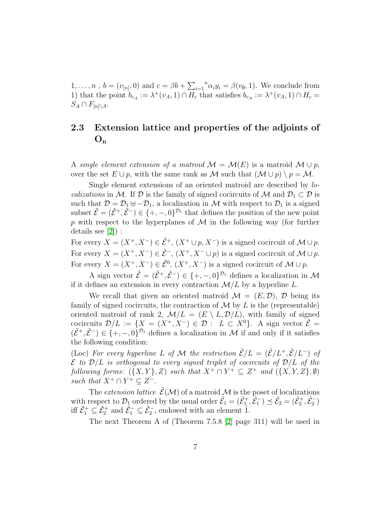$1, \ldots, n$ ,  $b = (v_{[n]}, 0)$  and  $c = \beta b + \sum_{i=1}^{\infty}$  $^{n} \alpha_i y_i = \beta(v_{\emptyset}, 1)$ . We conclude from 1) that the point  $b_{c_A} := \lambda^+(v_A, 1) \cap H_c$  that satisfies  $b_{c_A} := \lambda^+(v_A, 1) \cap H_c =$  $S_A \cap F_{[n]\setminus A}.$ 

### 2.3 Extension lattice and properties of the adjoints of  $O_n$

A single element extension of a matroid  $\mathcal{M} = \mathcal{M}(E)$  is a matroid  $\mathcal{M} \cup p$ , over the set  $E \cup p$ , with the same rank as M such that  $(\mathcal{M} \cup p) \setminus p = \mathcal{M}$ .

Single element extensions of an oriented matroid are described by lo*calizations* in M. If D is the family of signed cocircuits of M and  $\mathcal{D}_1 \subset \mathcal{D}$  is such that  $\mathcal{D} = \mathcal{D}_1 \oplus -\mathcal{D}_1$ , a localization in M with respect to  $\mathcal{D}_1$  is a signed subset  $\tilde{\mathcal{E}} = (\tilde{\mathcal{E}}^+, \tilde{\mathcal{E}}^-) \in \{+, -, 0\}^{\mathcal{D}_1}$  that defines the position of the new point p with respect to the hyperplanes of  $\mathcal M$  in the following way (for further details see [\[2\]](#page-21-0)) :

For every  $X = (X^+, X^-) \in \tilde{\mathcal{E}}^+, (X^+ \cup p, X^-)$  is a signed cocircuit of  $\mathcal{M} \cup p$ . For every  $X = (X^+, X^-) \in \tilde{\mathcal{E}}^-$ ,  $(X^+, X^- \cup p)$  is a signed cocircuit of  $\mathcal{M} \cup p$ . For every  $X = (X^+, X^-) \in \tilde{\mathcal{E}}^0$ ,  $(X^+, X^-)$  is a signed cocircuit of  $\mathcal{M} \cup p$ .

A sign vector  $\tilde{\mathcal{E}} = (\tilde{\mathcal{E}}^+, \tilde{\mathcal{E}}^-) \in \{+, -, 0\}^{\mathcal{D}_1}$  defines a localization in M if it defines an extension in every contraction  $\mathcal{M}/L$  by a hyperline L.

We recall that given an oriented matroid  $\mathcal{M} = (E, \mathcal{D})$ ,  $\mathcal{D}$  being its family of signed cocircuits, the contraction of  $\mathcal M$  by  $L$  is the (representable) oriented matroid of rank 2,  $\mathcal{M}/L = (E \setminus L, \mathcal{D}/L)$ , with family of signed cocircuits  $\mathcal{D}/L := \{X = (X^+, X^-) \in \mathcal{D} : L \subset X^0\}.$  A sign vector  $\tilde{\mathcal{E}} =$  $(\tilde{\mathcal{E}}^+, \tilde{\mathcal{E}}^-) \in \{+, -, 0\}^{\mathcal{D}_1}$  defines a localization in M if and only if it satisfies the following condition:

(Loc) For every hyperline L of M the restriction  $\tilde{\mathcal{E}}/L = (\tilde{\mathcal{E}}/L^+, \tilde{\mathcal{E}}/L^-)$  of  $\mathcal E$  to  $\mathcal D/L$  is orthogonal to every signed triplet of cocircuits of  $\mathcal D/L$  of the following forms:  $({X, Y}, Z)$  such that  $X^+ \cap Y^+ \subseteq Z^+$  and  $({X, Y, Z}, \emptyset)$ such that  $X^+ \cap Y^+ \subseteq Z^-$ .

The extension lattice  $\mathcal{E}(\mathcal{M})$  of a matroid M is the poset of localizations with respect to  $\mathcal{D}_1$  ordered by the usual order  $\tilde{\mathcal{E}}_1 = (\tilde{\mathcal{E}}_1^+, \tilde{\mathcal{E}}_1^-) \preceq \tilde{\mathcal{E}}_2 = (\tilde{\mathcal{E}}_2^+, \tilde{\mathcal{E}}_2^-)$ iff  $\tilde{\mathcal{E}}_1^+ \subseteq \tilde{\mathcal{E}}_2^+$  and  $\tilde{\mathcal{E}}_1^- \subseteq \tilde{\mathcal{E}}_2^-$ , endowed with an element 1.

The next Theorem A of (Theorem 7.5.8 [\[2\]](#page-21-0) page 311) will be used in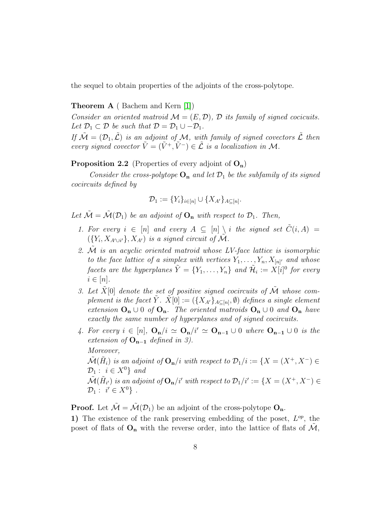the sequel to obtain properties of the adjoints of the cross-polytope.

#### Theorem A ( Bachem and Kern [\[1\]](#page-21-2))

Consider an oriented matroid  $\mathcal{M} = (E, \mathcal{D})$ ,  $\mathcal D$  its family of signed cocicuits. Let  $\mathcal{D}_1 \subset \mathcal{D}$  be such that  $\mathcal{D} = \mathcal{D}_1 \cup -\mathcal{D}_1$ .

If  $\tilde{\mathcal{M}} = (\mathcal{D}_1, \tilde{\mathcal{L}})$  is an adjoint of M, with family of signed covectors  $\tilde{\mathcal{L}}$  then every signed covector  $\tilde{V} = (\tilde{V}^+, \tilde{V}^-) \in \tilde{\mathcal{L}}$  is a localization in M.

#### **Proposition 2.2** (Properties of every adjoint of  $O_n$ )

Consider the cross-polytope  $O_n$  and let  $\mathcal{D}_1$  be the subfamily of its signed cocircuits defined by

$$
\mathcal{D}_1 := \{Y_i\}_{i \in [n]} \cup \{X_{A'}\}_{A \subseteq [n]}.
$$

Let  $\tilde{\mathcal{M}} = \tilde{\mathcal{M}}(\mathcal{D}_1)$  be an adjoint of  $O_n$  with respect to  $\mathcal{D}_1$ . Then,

- 1. For every  $i \in [n]$  and every  $A \subseteq [n] \setminus i$  the signed set  $\tilde{C}(i, A) =$  $(\{Y_i, X_{A' \cup i'}\}, X_{A'})$  is a signed circuit of  $\mathcal{\tilde{M}}$ .
- 2. M is an acyclic oriented matroid whose  $LV$ -face lattice is isomorphic to the face lattice of a simplex with vertices  $Y_1, \ldots, Y_n, X_{[n]}$  and whose facets are the hyperplanes  $\tilde{Y} = \{Y_1, \ldots, Y_n\}$  and  $\tilde{\mathcal{H}}_i := X[i]^0$  for every  $i \in [n]$ .
- 3. Let  $\tilde{X}[0]$  denote the set of positive signed cocircuits of  $\tilde{\mathcal{M}}$  whose complement is the facet  $\tilde{Y}$ .  $\tilde{X}[0] := (\{X_{A}\}_{A\subseteq[n]}, \emptyset)$  defines a single element extension  $O_n \cup 0$  of  $O_n$ . The oriented matroids  $O_n \cup 0$  and  $O_n$  have exactly the same number of hyperplanes and of signed cocircuits.
- 4. For every  $i \in [n]$ ,  $\mathbf{O}_n/i \simeq \mathbf{O}_n/i' \simeq \mathbf{O}_{n-1} \cup 0$  where  $\mathbf{O}_{n-1} \cup 0$  is the extension of  $O_{n-1}$  defined in 3). Moreover,  $\mathcal{\tilde{M}}(\tilde{H}_i)$  is an adjoint of  $\mathbf{O_n}/i$  with respect to  $\mathcal{D}_1/i := \{X = (X^+, X^-) \in$  $\mathcal{D}_1: i \in X^0$  and  $\tilde{\mathcal{M}}(\tilde{H}_{i'})$  is an adjoint of  $\mathbf{O_n}/i'$  with respect to  $\mathcal{D}_1/i':=\{X=(X^+,X^-)\in$  $\mathcal{D}_1: i' \in X^0$ .

**Proof.** Let  $\tilde{\mathcal{M}} = \tilde{\mathcal{M}}(\mathcal{D}_1)$  be an adjoint of the cross-polytope  $O_n$ .

1) The existence of the rank preserving embedding of the poset,  $L^{op}$ , the poset of flats of  $O_n$  with the reverse order, into the lattice of flats of  $M$ ,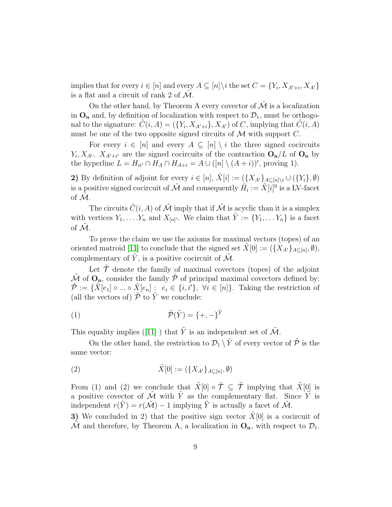implies that for every  $i \in [n]$  and every  $A \subseteq [n] \setminus i$  the set  $C = \{Y_i, X_{A'+i}, X_{A'}\}$ is a flat and a circuit of rank 2 of  $M$ .

On the other hand, by Theorem A every covector of  $\tilde{\mathcal{M}}$  is a localization in  $O_n$  and, by definition of localization with respect to  $\mathcal{D}_1$ , must be orthogonal to the signature:  $\tilde{C}(i, A) = (\{Y_i, X_{A'+i}\}, X_{A'})$  of C, implying that  $\tilde{C}(i, A)$ must be one of the two opposite signed circuits of  $M$  with support  $C$ .

For every  $i \in [n]$  and every  $A \subseteq [n] \setminus i$  the three signed cocircuits  $Y_i, X_{A'}, X_{A'+i'}$  are the signed cocircuits of the contraction  $O_n/L$  of  $O_n$  by the hyperline  $L = H_{ii'} \cap H_A \cap H_{A+i} = A \cup ([n] \setminus (A+i))'$ , proving 1).

2) By definition of adjoint for every  $i \in [n]$ ,  $\tilde{X}[i] := (\{X_{A'}\}_{A \subseteq [n] \setminus i} \cup (\{Y_i\}, \emptyset)$ is a positive signed cocircuit of  $\tilde{\mathcal{M}}$  and consequently  $\tilde{H}_i := \tilde{X}[i]^0$  is a LV-facet of  $M$ .

The circuits  $\tilde{C}(i, A)$  of  $\tilde{\mathcal{M}}$  imply that if  $\tilde{\mathcal{M}}$  is acyclic than it is a simplex with vertices  $Y_1, \ldots, Y_n$  and  $X_{[n]'}$ . We claim that  $\tilde{Y} := \{Y_1, \ldots, Y_n\}$  is a facet of  $M$ .

To prove the claim we use the axioms for maximal vectors (topes) of an oriented matroid [\[11\]](#page-22-4) to conclude that the signed set  $\tilde{X}[0] := (\{X_{A'}\}_{A \subseteq [n]}, \emptyset),$ complementary of  $\tilde{Y}$ , is a positive cocircuit of  $\tilde{\mathcal{M}}$ .

Let  $\tilde{T}$  denote the family of maximal covectors (topes) of the adjoint  $\tilde{\mathcal{M}}$  of  $O_n$ , consider the family  $\tilde{\mathcal{P}}$  of principal maximal covectors defined by:  $\tilde{\mathcal{P}} := {\{\tilde{X}[e_1] \circ \ldots \circ \tilde{X}[e_n] \; : \; e_i \in \{i, i'\}, \; \forall i \in [n]\}.$  Taking the restriction of (all the vectors of)  $\tilde{\mathcal{P}}$  to  $\tilde{Y}$  we conclude:

$$
\tilde{\mathcal{P}}(\tilde{Y}) = \{+,-\}^{\tilde{Y}}
$$

This equality implies ([\[11\]](#page-22-4) ) that  $\tilde{Y}$  is an independent set of  $\tilde{\mathcal{M}}$ .

On the other hand, the restriction to  $\mathcal{D}_1 \setminus \tilde{Y}$  of every vector of  $\tilde{\mathcal{P}}$  is the same vector:

(2) 
$$
\tilde{X}[0] := (\{X_{A}\}_{A \subseteq [n]}, \emptyset)
$$

From (1) and (2) we conclude that  $\tilde{X}[0] \circ \tilde{\mathcal{T}} \subseteq \tilde{\mathcal{T}}$  implying that  $\tilde{X}[0]$  is a positive covector of  $\tilde{\mathcal{M}}$  with  $\tilde{Y}$  as the complementary flat. Since  $\tilde{Y}$  is independent  $r(\hat{Y}) = r(\hat{\mathcal{M}}) - 1$  implying  $\hat{Y}$  is actually a facet of  $\hat{\mathcal{M}}$ .

3) We concluded in 2) that the positive sign vector  $\hat{X}[0]$  is a cocircuit of M and therefore, by Theorem A, a localization in  $O_n$ , with respect to  $\mathcal{D}_1$ .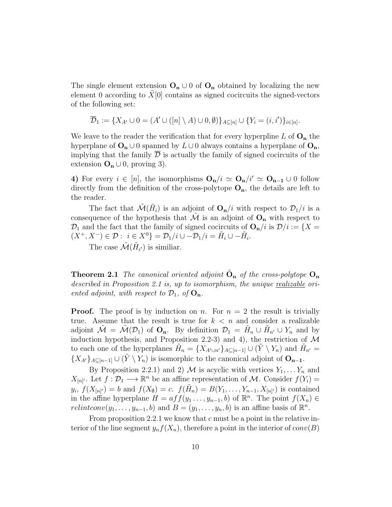The single element extension  $O_n \cup 0$  of  $O_n$  obtained by localizing the new element 0 according to  $X[0]$  contains as signed cocircuits the signed-vectors of the following set:

$$
\overline{\mathcal{D}}_1 := \{ X_{A'} \cup 0 = (A' \cup ([n] \setminus A) \cup 0, \emptyset) \}_{A \subseteq [n]} \cup \{ Y_i = (i, i') \}_{i \in [n]}.
$$

We leave to the reader the verification that for every hyperpline  $L$  of  $O_n$  the hyperplane of  $O_n \cup 0$  spanned by  $L \cup 0$  always contains a hyperplane of  $O_n$ , implying that the family  $\mathcal D$  is actually the family of signed cocircuits of the extension  $O_n \cup 0$ , proving 3).

4) For every  $i \in [n]$ , the isomorphisms  $O_n/i \simeq O_n/i' \simeq O_{n-1} \cup 0$  follow directly from the definition of the cross-polytope  $O_n$ , the details are left to the reader.

The fact that  $\mathcal{\tilde{M}}(\tilde{H}_i)$  is an adjoint of  $\mathbf{O}_{\mathbf{n}}/i$  with respect to  $\mathcal{D}_1/i$  is a consequence of the hypothesis that  $M$  is an adjoint of  $O_n$  with respect to  $\mathcal{D}_1$  and the fact that the family of signed cocircuits of  $\mathbf{O}_n/i$  is  $\mathcal{D}/i := \{X =$  $(X^+, X^-) \in \mathcal{D}: i \in X^0$  =  $\mathcal{D}_1/i \cup -\mathcal{D}_1/i = \tilde{H}_i \cup -\tilde{H}_i.$ 

The case  $\mathcal{\tilde{M}}(\tilde{H}_{i'})$  is similiar.

**Theorem 2.1** The canonical oriented adjoint  $\tilde{O}_n$  of the cross-polytope  $O_n$ described in Proposition 2.1 is, up to isomorphism, the unique realizable oriented adjoint, with respect to  $\mathcal{D}_1$ , of  $O_n$ .

**Proof.** The proof is by induction on n. For  $n = 2$  the result is trivially true. Assume that the result is true for  $k < n$  and consider a realizable adjoint  $\tilde{\mathcal{M}} = \tilde{\mathcal{M}}(\mathcal{D}_1)$  of  $O_n$ . By definition  $\mathcal{D}_1 = \tilde{H}_n \cup \tilde{H}_{n'} \cup Y_n$  and by induction hypothesis, and Proposition 2.2-3) and 4), the restriction of  $\mathcal M$ to each one of the hyperplanes  $\tilde{H}_n = \{X_{A' \cup n'}\}_{A \subseteq [n-1]} \cup (\tilde{Y} \setminus Y_n)$  and  $\tilde{H}_{n'} =$  ${X_{A'}}_{A\subseteq[n-1]} \cup (\tilde{Y}\setminus Y_n)$  is isomorphic to the canonical adjoint of  $O_{n-1}$ .

By Proposition 2.2.1) and 2) M is acyclic with vertices  $Y_1, \ldots, Y_n$  and  $X_{[n]'}$ . Let  $f: \mathcal{D}_1 \longrightarrow \mathbb{R}^n$  be an affine representation of M. Consider  $f(Y_i) =$  $y_i, f(X_{[n]'}) = b$  and  $f(X_{\emptyset}) = c.$   $f(\tilde{H}_n) = B(Y_1, \ldots, Y_{n-1}, X_{[n]'})$  is contained in the affine hyperplane  $H = aff(y_1 \ldots, y_{n-1}, b)$  of  $\mathbb{R}^n$ . The point  $f(X_n) \in$  $relintconv(y_1, \ldots, y_{n-1}, b)$  and  $B = (y_1, \ldots, y_n, b)$  is an affine basis of  $\mathbb{R}^n$ .

From proposition 2.2.1 we know that  $c$  must be a point in the relative interior of the line segment  $y_n f(X_n)$ , therefore a point in the interior of  $conv(B)$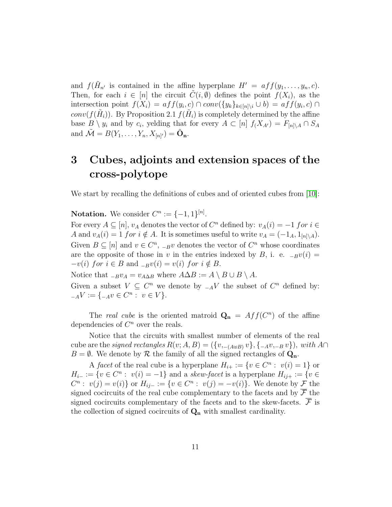and  $f(\tilde{H}_{n'}$  is contained in the affine hyperplane  $H' = aff(y_1, \ldots, y_n, c)$ . Then, for each  $i \in [n]$  the circuit  $C(i, \emptyset)$  defines the point  $f(X_i)$ , as the intersection point  $f(X_i) = aff(y_i, c) \cap conv(\{y_k\}_{k \in [n] \setminus i} \cup b) = aff(y_i, c) \cap b$  $conv(f(\tilde{H_i}))$ . By Proposition 2.1  $f(\tilde{H_i})$  is completely determined by the affine base  $B \setminus y_i$  and by  $c_i$ , yelding that for every  $A \subset [n]$   $f(X_{A'}) = F_{[n] \setminus A} \cap S_A$ and  $\tilde{\mathcal{M}} = B(Y_1, \ldots, Y_n, X_{[n]'}) = \tilde{\mathbf{O}}_{\mathbf{n}}.$ 

# 3 Cubes, adjoints and extension spaces of the cross-polytope

We start by recalling the definitions of cubes and of oriented cubes from [\[10\]](#page-22-0):

**Notation.** We consider  $C^n := \{-1, 1\}^{[n]}$ .

For every  $A \subseteq [n]$ ,  $v_A$  denotes the vector of  $C^n$  defined by:  $v_A(i) = -1$  for  $i \in$ A and  $v_A(i) = 1$  for  $i \notin A$ . It is sometimes useful to write  $v_A = (-1_A, 1_{[n] \setminus A})$ . Given  $B \subseteq [n]$  and  $v \in C^n$ ,  $_{-B}v$  denotes the vector of  $C^n$  whose coordinates are the opposite of those in v in the entries indexed by B, i. e.  $_{-B}v(i)$  =  $-v(i)$  for  $i \in B$  and  $_{-B}v(i) = v(i)$  for  $i \notin B$ .

Notice that  ${}_{-B}v_A = v_{A\Delta B}$  where  $A\Delta B := A \setminus B \cup B \setminus A$ .

Given a subset  $V \subseteq C^n$  we denote by  $_{-A}V$  the subset of  $C^n$  defined by:  $_{-A}V := \{ _{-A}v \in C^n : v \in V \}.$ 

The real cube is the oriented matroid  $\mathbf{Q_n} = Aff(C^n)$  of the affine dependencies of  $C<sup>n</sup>$  over the reals.

Notice that the circuits with smallest number of elements of the real cube are the *signed rectangles*  $R(v; A, B) = (\{v, \text{-(}A \oplus B)v\}, \{\text{-(}A \cup \text{-(}B)v\}, w\}$ , with A∩  $B = \emptyset$ . We denote by R the family of all the signed rectangles of  $\mathbf{Q}_n$ .

A facet of the real cube is a hyperplane  $H_{i+} := \{v \in C^n : v(i) = 1\}$  or  $H_{i-} := \{v \in C^n : v(i) = -1\}$  and a skew-facet is a hyperplane  $H_{ij+} := \{v \in$  $C^n: v(j) = v(i)$  or  $H_{ij-} := \{v \in C^n: v(j) = -v(i)\}.$  We denote by  $\mathcal F$  the signed cocircuits of the real cube complementary to the facets and by  $\overline{\mathcal{F}}$  the signed cocircuits complementary of the facets and to the skew-facets.  $\mathcal F$  is the collection of signed cocircuits of  $Q_n$  with smallest cardinality.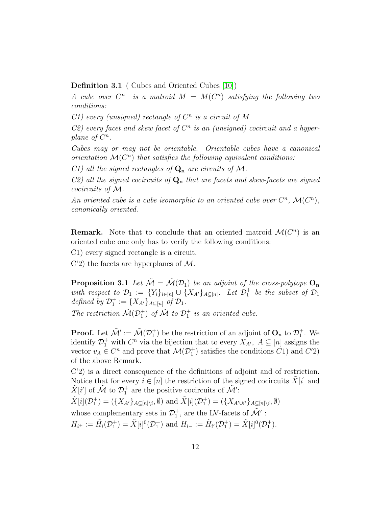Definition 3.1 ( Cubes and Oriented Cubes [\[10\]](#page-22-0))

A cube over  $C^n$  is a matroid  $M = M(C^n)$  satisfying the following two conditions:

C1) every (unsigned) rectangle of  $C^n$  is a circuit of M

 $C2$ ) every facet and skew facet of  $C<sup>n</sup>$  is an (unsigned) cocircuit and a hyperplane of  $C^n$ .

Cubes may or may not be orientable. Orientable cubes have a canonical orientation  $\mathcal{M}(C^n)$  that satisfies the following equivalent conditions:

C1) all the signed rectangles of  $\mathbf{Q}_n$  are circuits of M.

C2) all the signed cocircuits of  $\mathbf{Q}_n$  that are facets and skew-facets are signed cocircuits of M.

An oriented cube is a cube isomorphic to an oriented cube over  $C^n$ ,  $\mathcal{M}(C^n)$ , canonically oriented.

**Remark.** Note that to conclude that an oriented matroid  $\mathcal{M}(C^n)$  is an oriented cube one only has to verify the following conditions:

C1) every signed rectangle is a circuit.

C'2) the facets are hyperplanes of  $\mathcal{M}$ .

**Proposition 3.1** Let  $\tilde{\mathcal{M}} = \tilde{\mathcal{M}}(\mathcal{D}_1)$  be an adjoint of the cross-polytope  $O_n$ with respect to  $\mathcal{D}_1 := \{Y_i\}_{i \in [n]} \cup \{X_{A'}\}_{A \subseteq [n]}$ . Let  $\mathcal{D}_1^+$  be the subset of  $\mathcal{D}_1$ defined by  $\mathcal{D}_1^+ := \{X_{A'}\}_{A \subseteq [n]}$  of  $\mathcal{D}_1$ .

The restriction  $\tilde{\mathcal{M}}(\mathcal{D}_1^+)$  of  $\tilde{\mathcal{M}}$  to  $\mathcal{D}_1^+$  is an oriented cube.

**Proof.** Let  $\tilde{\mathcal{M}}' := \tilde{\mathcal{M}}(\mathcal{D}_1^+)$  be the restriction of an adjoint of  $O_n$  to  $\mathcal{D}_1^+$ . We identify  $\mathcal{D}_1^+$  with  $C^n$  via the bijection that to every  $X_{A'}$ ,  $A \subseteq [n]$  assigns the vector  $v_A \in C^n$  and prove that  $\mathcal{M}(\mathcal{D}_1^+)$  satisfies the conditions  $C_1$ ) and  $C_2$ ) of the above Remark.

C'2) is a direct consequence of the definitions of adjoint and of restriction. Notice that for every  $i \in [n]$  the restriction of the signed cocircuits  $\tilde{X}[i]$  and  $\tilde{X}[i']$  of  $\tilde{\mathcal{M}}$  to  $\mathcal{D}_1^+$  are the positive cocircuits of  $\tilde{\mathcal{M}}'$ :

 $\tilde{X}[i](\mathcal{D}_1^+) = (\{X_{A}\}\}_{A\subseteq[n]\backslash i}, \emptyset)$  and  $\tilde{X}[i](\mathcal{D}_1^+) = (\{X_{A'\cup i'}\}_{A\subseteq[n]\backslash i}, \emptyset)$ whose complementary sets in  $\mathcal{D}_1^+$ , are the LV-facets of  $\tilde{\mathcal{M}}'$ :  $H_{i^+} := \tilde{H}_i(\mathcal{D}_1^+) = \tilde{X}[i]^0(\mathcal{D}_1^+)$  and  $H_{i^-} := \tilde{H}_{i'}(\mathcal{D}_1^+) = \tilde{X}[i]^0(\mathcal{D}_1^+)$ .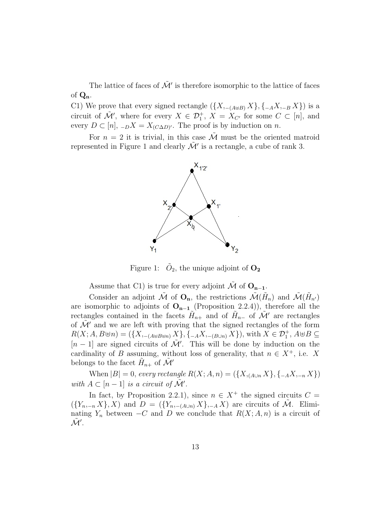The lattice of faces of  $\tilde{\mathcal{M}}'$  is therefore isomorphic to the lattice of faces of  $Q_n$ .

C1) We prove that every signed rectangle  $({X,_{-(A\oplus B)} X}, {_{-A}X,_{-B} X})$  is a circuit of  $\tilde{\mathcal{M}}'$ , where for every  $X \in \mathcal{D}_1^+$ ,  $X = X_{C'}$  for some  $C \subset [n]$ , and every  $D \subset [n], -DX = X_{(C \Delta D)'}.$  The proof is by induction on n.

For  $n = 2$  it is trivial, in this case  $\tilde{\mathcal{M}}$  must be the oriented matroid represented in Figure 1 and clearly  $\tilde{\mathcal{M}}'$  is a rectangle, a cube of rank 3.



Figure 1:  $\tilde{O}_2$ , the unique adjoint of  $O_2$ 

Assume that C1) is true for every adjoint  $\tilde{\mathcal{M}}$  of  $\mathbf{O_{n-1}}$ .

Consider an adjoint  $\tilde{\mathcal{M}}$  of  $O_n$ , the restrictions  $\tilde{\mathcal{M}}(\tilde{H}_n)$  and  $\tilde{\mathcal{M}}(\tilde{H}_{n'})$ are isomorphic to adjoints of  $O_{n-1}$  (Proposition 2.2.4)), therefore all the rectangles contained in the facets  $\tilde{H}_{n+}$  and of  $\tilde{H}_{n-}$  of  $\tilde{\mathcal{M}}'$  are rectangles of  $\mathcal{M}'$  and we are left with proving that the signed rectangles of the form  $R(X; A, B \oplus n) = (\{X, _{-(A \oplus B \oplus n)} X\}, \{ _{-A}X, _{-(B \cup n)} X\})$ , with  $X \in \mathcal{D}_1^+$ ,  $A \oplus B \subseteq$  $[n-1]$  are signed circuits of  $\tilde{\mathcal{M}}'$ . This will be done by induction on the cardinality of B assuming, without loss of generality, that  $n \in X^+$ , i.e. X belongs to the facet  $H_{n+}$  of  $\mathcal{\tilde{M}}'$ 

When  $|B| = 0$ , every rectangle  $R(X; A, n) = (\{X, A \cup n \mid X\}, \{A, X, -n \mid X\})$ with  $A \subset [n-1]$  is a circuit of  $\tilde{\mathcal{M}}'$ .

In fact, by Proposition 2.2.1), since  $n \in X^+$  the signed circuits  $C =$  $({Y_{n,-n} X}, X)$  and  $D = ({Y_{n,-(A\cup n)} X}, -A X)$  are circuits of  $\tilde{M}$ . Eliminating  $Y_n$  between  $-C$  and D we conclude that  $R(X; A, n)$  is a circuit of  $\tilde{\mathcal{M}}'.$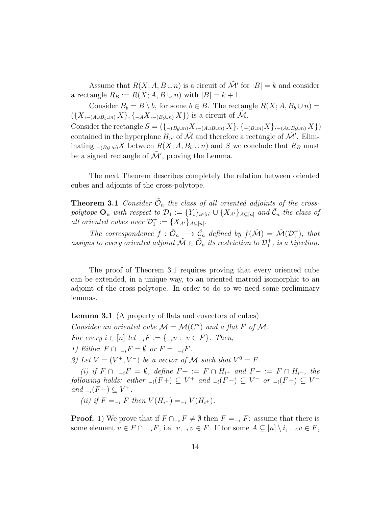Assume that  $R(X; A, B \cup n)$  is a circuit of  $\tilde{\mathcal{M}}'$  for  $|B| = k$  and consider a rectangle  $R_B := R(X; A, B \cup n)$  with  $|B| = k + 1$ .

Consider  $B_b = B \setminus b$ , for some  $b \in B$ . The rectangle  $R(X; A, B_b \cup n) =$  $({X,_{-(A\cup B_b\cup n)} X}, {\{-A X,_{-(B_b\cup n)} X\}}$  is a circuit of  $\tilde{\mathcal{M}}$ . Consider the rectangle  $S = \left( \{ (B_b \cup n)X, -(A \cup B \cup n)X \}, \{ (B \cup n)X \}, -(A \cup B_b \cup n)X \} \right)$ contained in the hyperplane  $H_{n'}$  of  $\tilde{\mathcal{M}}$  and therefore a rectangle of  $\tilde{\mathcal{M}}'$ . Eliminating  $_{-(B_b\cup n)}X$  between  $R(X; A, B_b\cup n)$  and S we conclude that  $R_B$  must be a signed rectangle of  $\tilde{\mathcal{M}}'$ , proving the Lemma.

The next Theorem describes completely the relation between oriented cubes and adjoints of the cross-polytope.

**Theorem 3.1** Consider  $\tilde{\mathcal{O}}_n$  the class of all oriented adjoints of the crosspolytope  $O_n$  with respect to  $\mathcal{D}_1 := \{Y_i\}_{i \in [n]} \cup \{X_{A'}\}_{A \subseteq [n]}$  and  $\tilde{\mathcal{C}}_n$  the class of all oriented cubes over  $\mathcal{D}_1^+ := \{X_{A'}\}_{A \subseteq [n]}.$ 

The correspondence  $f: \tilde{\mathcal{O}}_n \longrightarrow \tilde{\mathcal{C}}_n$  defined by  $f(\tilde{\mathcal{M}}) = \tilde{\mathcal{M}}(\mathcal{D}_1^+)$ , that assigns to every oriented adjoint  $\tilde{M} \in \tilde{O}_n$  its restriction to  $\mathcal{D}_1^+$ , is a bijection.

The proof of Theorem 3.1 requires proving that every oriented cube can be extended, in a unique way, to an oriented matroid isomorphic to an adjoint of the cross-polytope. In order to do so we need some preliminary lemmas.

Lemma 3.1 (A property of flats and covectors of cubes) Consider an oriented cube  $\mathcal{M} = \mathcal{M}(C^n)$  and a flat F of M. For every  $i \in [n]$  let  $_{-i}F := \{f_{-i}v : v \in F\}$ . Then, 1) Either  $F \cap -iF = \emptyset$  or  $F = -iF$ . 2) Let  $V = (V^+, V^-)$  be a vector of M such that  $V^0 = F$ . (i) if  $F \cap -iF = \emptyset$ , define  $F + := F \cap H_{i^+}$  and  $F - := F \cap H_{i^-}$ , the

following holds: either  $_{-i}(F+) \subseteq V^+$  and  $_{-i}(F-) \subseteq V^-$  or  $_{-i}(F+) \subseteq V^$ and  $_{-i}(F-) \subseteq V^+$ .

(ii) if  $F =_{i} F$  then  $V(H_{i^-}) =_{i} V(H_{i^+})$ .

**Proof.** 1) We prove that if  $F \cap_{i} F \neq \emptyset$  then  $F =_{i} F$ : assume that there is some element  $v \in F \cap -iF$ , i.e.  $v, -i v \in F$ . If for some  $A \subseteq [n] \setminus i$ ,  $-Av \in F$ ,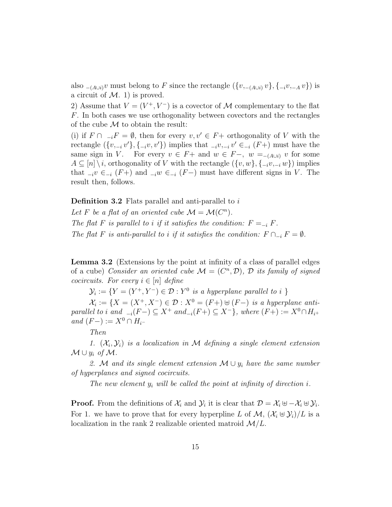also <sub> $-(A\cup i)v$ </sub> must belong to F since the rectangle  $({v,_{-(A\cup i)}v}, {(-iv,_{-A}v})$  is a circuit of  $M$ . 1) is proved.

2) Assume that  $V = (V^+, V^-)$  is a covector of M complementary to the flat F. In both cases we use orthogonality between covectors and the rectangles of the cube  $\mathcal M$  to obtain the result:

(i) if  $F \cap -iF = \emptyset$ , then for every  $v, v' \in F$  + orthogonality of V with the rectangle  $(\{v, \_i v'\}, \{ \_i v, v' \})$  implies that  $\{v, \_i v' \in \{v, -i} v' \in \{F + v\}$  must have the same sign in V. For every  $v \in F+$  and  $w \in F-$ ,  $w =_{-(A\cup i)} v$  for some  $A \subseteq [n] \setminus i$ , orthogonality of V with the rectangle  $(\{v, w\}, \{-iv, -i w\})$  implies that  $_{-i}v \in_{-i} (F+)$  and  $_{-i}w \in_{-i} (F-)$  must have different signs in V. The result then, follows.

Definition 3.2 Flats parallel and anti-parallel to i

Let F be a flat of an oriented cube  $\mathcal{M} = \mathcal{M}(C^n)$ . The flat F is parallel to i if it satisfies the condition:  $F =_{i} F$ . The flat F is anti-parallel to i if it satisfies the condition:  $F \cap_{-i} F = \emptyset$ .

Lemma 3.2 (Extensions by the point at infinity of a class of parallel edges of a cube) Consider an oriented cube  $\mathcal{M} = (C^n, \mathcal{D})$ ,  $\mathcal D$  its family of signed cocircuits. For every  $i \in [n]$  define

 $\mathcal{Y}_i := \{ Y = (Y^+, Y^-) \in \mathcal{D} : Y^0 \text{ is a hyperplane parallel to } i \}$ 

 $\mathcal{X}_i := \{ X = (X^+, X^-) \in \mathcal{D} : X^0 = (F+) \uplus (F-) \text{ is a hyperplane anti-} \}$ parallel to i and  $_{-i}(F-) \subseteq X^+$  and  $_{-i}(F+) \subseteq X^-$ , where  $(F+) := X^0 \cap H_{i^+}$ and  $(F-) := X^0 ∩ H_{i^-}$ 

Then

1.  $(X_i, Y_i)$  is a localization in M defining a single element extension  $\mathcal{M} \cup y_i$  of  $\mathcal{M}$ .

2. M and its single element extension  $\mathcal{M} \cup y_i$  have the same number of hyperplanes and signed cocircuits.

The new element  $y_i$  will be called the point at infinity of direction i.

**Proof.** From the definitions of  $\mathcal{X}_i$  and  $\mathcal{Y}_i$  it is clear that  $\mathcal{D} = \mathcal{X}_i \oplus -\mathcal{X}_i \oplus \mathcal{Y}_i$ . For 1. we have to prove that for every hyperpline L of  $\mathcal{M}, (\mathcal{X}_i \oplus \mathcal{Y}_i)/L$  is a localization in the rank 2 realizable oriented matroid  $\mathcal{M}/L$ .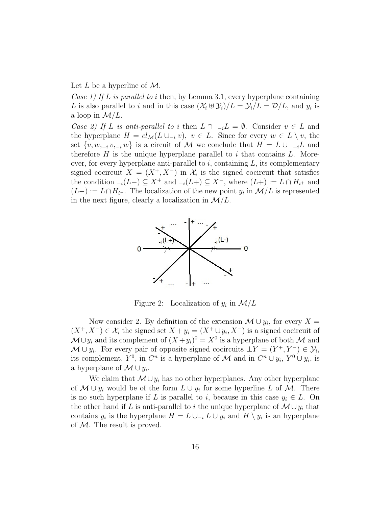Let  $L$  be a hyperline of  $M$ .

Case 1) If L is parallel to i then, by Lemma 3.1, every hyperplane containing L is also parallel to i and in this case  $(\mathcal{X}_i \oplus \mathcal{Y}_i)/L = \mathcal{Y}_i/L = \mathcal{D}/L$ , and  $y_i$  is a loop in  $\mathcal{M}/L$ .

Case 2) If L is anti-parallel to i then  $L \cap L = \emptyset$ . Consider  $v \in L$  and the hyperplane  $H = cl_{\mathcal{M}}(L \cup_{-i} v), v \in L$ . Since for every  $w \in L \setminus v$ , the set  $\{v, w, _{-i}v, _{-i}w\}$  is a circuit of M we conclude that  $H = L \cup _{-i}L$  and therefore  $H$  is the unique hyperplane parallel to i that contains  $L$ . Moreover, for every hyperplane anti-parallel to  $i$ , containing  $L$ , its complementary signed cocircuit  $X = (X^+, X^-)$  in  $\mathcal{X}_i$  is the signed cocircuit that satisfies the condition  $_{-i}(L-) \subseteq X^+$  and  $_{-i}(L+) \subseteq X^-$ , where  $(L+) := L \cap H_{i^+}$  and  $(L-) := L \cap H_{i^-}.$  The localization of the new point  $y_i$  in  $\mathcal{M}/L$  is represented in the next figure, clearly a localization in  $\mathcal{M}/L$ .



Figure 2: Localization of  $y_i$  in  $\mathcal{M}/L$ 

Now consider 2. By definition of the extension  $\mathcal{M} \cup y_i$ , for every  $X =$  $(X^+, X^-) \in \mathcal{X}_i$  the signed set  $X + y_i = (X^+ \cup y_i, X^-)$  is a signed cocircuit of  $\mathcal{M} \cup y_i$  and its complement of  $(X + y_i)^0 = X^0$  is a hyperplane of both  $\mathcal M$  and  $\mathcal{M} \cup y_i$ . For every pair of opposite signed cocircuits  $\pm Y = (Y^+, Y^-) \in \mathcal{Y}_i$ , its complement,  $Y^0$ , in  $C^n$  is a hyperplane of M and in  $C^n \cup y_i$ ,  $Y^0 \cup y_i$ , is a hyperplane of  $\mathcal{M} \cup y_i$ .

We claim that  $\mathcal{M} \cup y_i$  has no other hyperplanes. Any other hyperplane of  $\mathcal{M} \cup y_i$  would be of the form  $L \cup y_i$  for some hyperline L of  $\mathcal{M}$ . There is no such hyperplane if L is parallel to i, because in this case  $y_i \in L$ . On the other hand if L is anti-parallel to i the unique hyperplane of  $\mathcal{M} \cup y_i$  that contains  $y_i$  is the hyperplane  $H = L \cup_{-i} L \cup y_i$  and  $H \setminus y_i$  is an hyperplane of  $M$ . The result is proved.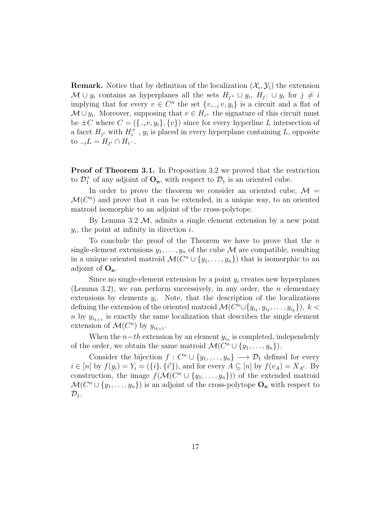**Remark.** Notice that by definition of the localization  $(\mathcal{X}_i, \mathcal{Y}_i)$  the extension  $\mathcal{M} \cup y_i$  contains as hyperplanes all the sets  $H_{j^+} \cup y_i$ ,  $H_{j^-} \cup y_i$  for  $j \neq i$ implying that for every  $v \in C^n$  the set  $\{v, _{-i}v, y_i\}$  is a circuit and a flat of  $\mathcal{M} \cup y_i$ . Moreover, supposing that  $v \in H_{i^+}$  the signature of this circuit must be  $\pm C$  where  $C = (\{-i, y_i\}, \{v\})$  since for every hyperline L intersection of a facet  $H_{j^{\epsilon}}$  with  $H_i^+$  $i_i^+$ ,  $y_i$  is placed in every hyperplane containing L, opposite to  $_{-i}L = H_{j^{\epsilon}} \cap H_{i^{-}}$ .

Proof of Theorem 3.1. In Proposition 3.2 we proved that the restriction to  $\mathcal{D}_1^+$  of any adjoint of  $O_n$ , with respect to  $\mathcal{D}_1$  is an oriented cube.

In order to prove the theorem we consider an oriented cube,  $\mathcal{M} =$  $\mathcal{M}(C^n)$  and prove that it can be extended, in a unique way, to an oriented matroid isomorphic to an adjoint of the cross-polytope.

By Lemma 3.2  $M$ , admits a single element extension by a new point  $y_i$ , the point at infinity in direction i.

To conclude the proof of the Theorem we have to prove that the  $n$ single-element extensions  $y_1, \ldots, y_n$  of the cube M are compatible, resulting in a unique oriented matroid  $\mathcal{M}(C^n \cup \{y_1, \ldots, y_n\})$  that is isomorphic to an adjoint of  $O_n$ .

Since no single-element extension by a point  $y_i$  creates new hyperplanes (Lemma 3.2), we can perform successively, in any order, the n elementary extensions by elements  $y_i$ . Note, that the description of the localizations defining the extension of the oriented matroid  $\mathcal{M}(C^n \cup \{y_{i_1}, y_{i_2}, \ldots, y_{i_k}\}), k < k$ n by  $y_{i_{k+1}}$  is exactly the same localization that describes the single element extension of  $\mathcal{M}(C^n)$  by  $y_{i_{k+1}}$ .

When the  $n-th$  extension by an element  $y_{i_n}$  is completed, independenly of the order, we obtain the same matroid  $\mathcal{M}(C^n \cup \{y_1, \ldots, y_n\})$ .

Consider the bijection  $f: C^n \cup \{y_1, \ldots, y_n\} \longrightarrow \mathcal{D}_1$  defined for every  $i \in [n]$  by  $f(y_i) = Y_i = (\{i\}, \{i'\})$ , and for every  $A \subseteq [n]$  by  $f(v_A) = X_{A'}$ . By construction, the image  $f(\mathcal{M}(C^n \cup \{y_1, \ldots, y_n\}))$  of the extended matroid  $\mathcal{M}(C^n \cup \{y_1, \ldots, y_n\})$  is an adjoint of the cross-polytope  $O_n$  with respect to  $\mathcal{D}_1$ .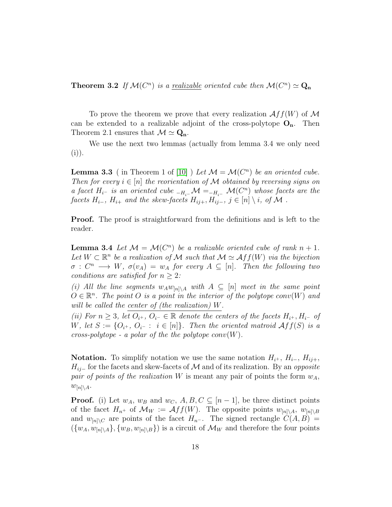**Theorem 3.2** If  $\mathcal{M}(C^n)$  is a <u>realizable</u> oriented cube then  $\mathcal{M}(C^n) \simeq \mathbf{Q}_n$ 

To prove the theorem we prove that every realization  $\mathcal{A} f f(W)$  of M can be extended to a realizable adjoint of the cross-polytope  $O_n$ . Then Theorem 2.1 ensures that  $\mathcal{M} \simeq \mathbf{Q}_n$ .

We use the next two lemmas (actually from lemma 3.4 we only need  $(i)).$ 

**Lemma 3.3** (in Theorem 1 of [\[10\]](#page-22-0) ) Let  $\mathcal{M} = \mathcal{M}(C^n)$  be an oriented cube. Then for every  $i \in [n]$  the reorientation of M obtained by reversing signs on a facet  $H_{i^-}$  is an oriented cube  $_{-H_{i^-}}\mathcal{M} =_{-H_{i^-}} \mathcal{M}(C^n)$  whose facets are the facets  $H_{i-}$ ,  $H_{i+}$  and the skew-facets  $H_{i+}$ ,  $H_{i-}$ ,  $j \in [n] \setminus i$ , of M.

**Proof.** The proof is straightforward from the definitions and is left to the reader.

**Lemma 3.4** Let  $\mathcal{M} = \mathcal{M}(C^n)$  be a realizable oriented cube of rank  $n + 1$ . Let  $W \subset \mathbb{R}^n$  be a realization of M such that  $\mathcal{M} \simeq \mathcal{A} ff(W)$  via the bijection  $\sigma: C^n \longrightarrow W$ ,  $\sigma(v_A) = w_A$  for every  $A \subseteq [n]$ . Then the following two conditions are satisfied for  $n \geq 2$ :

(i) All the line segments  $w_A w_{[n] \setminus A}$  with  $A \subseteq [n]$  meet in the same point  $O \in \mathbb{R}^n$ . The point O is a point in the interior of the polytope conv $(W)$  and will be called the center of (the realization) W.

(ii) For  $n \geq 3$ , let  $O_{i^+}$ ,  $O_{i^-} \in \mathbb{R}$  denote the centers of the facets  $H_{i^+}$ ,  $H_{i^-}$  of W, let  $S := \{O_{i^+}, O_{i^-} : i \in [n]\}\$ . Then the oriented matroid  $\mathcal{A}ff(S)$  is a cross-polytope - a polar of the the polytope  $conv(W)$ .

**Notation.** To simplify notation we use the same notation  $H_{i^+}$ ,  $H_{i^-}$ ,  $H_{ij^+}$ ,  $H_{ij}$ – for the facets and skew-facets of M and of its realization. By an *opposite* pair of points of the realization W is meant any pair of points the form  $w<sub>A</sub>$ ,  $w_{[n]\setminus A}$ .

**Proof.** (i) Let  $w_A$ ,  $w_B$  and  $w_C$ ,  $A, B, C \subseteq [n-1]$ , be three distinct points of the facet  $H_{n+}$  of  $\mathcal{M}_W := \mathcal{A}ff(W)$ . The opposite points  $w_{[n]\setminus A}$ ,  $w_{[n]\setminus B}$ and  $w_{[n]\setminus C}$  are points of the facet  $H_{n-}$ . The signed rectangle  $C(A, B)$  =  $({w_A, w_{[n] \setminus A}}, {w_B, w_{[n] \setminus B}})$  is a circuit of  $\mathcal{M}_W$  and therefore the four points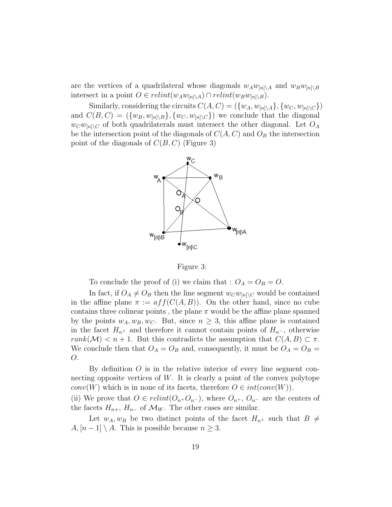are the vertices of a quadrilateral whose diagonals  $w_A w_{[n] \setminus A}$  and  $w_B w_{[n] \setminus B}$ intersect in a point  $O \in relint(w_A w_{[n] \setminus A}) \cap relint(w_B w_{[n] \setminus B}).$ 

Similarly, considering the circuits  $C(A, C) = (\{w_A, w_{[n] \setminus A}\}, \{w_C, w_{[n] \setminus C}\})$ and  $C(B, C) = (\{w_B, w_{[n] \setminus B}\}, \{w_C, w_{[n] \setminus C}\})$  we conclude that the diagonal  $w_C w_{[n] \setminus C}$  of both quadrilaterals must intersect the other diagonal. Let  $O_A$ be the intersection point of the diagonals of  $C(A, C)$  and  $O_B$  the intersection point of the diagonals of  $C(B, C)$  (Figure 3)



Figure 3:

To conclude the proof of (i) we claim that :  $O_A = O_B = O$ .

In fact, if  $O_A \neq O_B$  then the line segment  $w_Cw_{[n]\setminus C}$  would be contained in the affine plane  $\pi := aff(C(A, B))$ . On the other hand, since no cube contains three colinear points, the plane  $\pi$  would be the affine plane spanned by the points  $w_A, w_B, w_C$ . But, since  $n \geq 3$ , this affine plane is contained in the facet  $H_{n^+}$  and therefore it cannot contain points of  $H_{n^-}$ , otherwise  $rank(\mathcal{M}) < n+1$ . But this contradicts the assumption that  $C(A, B) \subset \pi$ . We conclude then that  $O_A = O_B$  and, consequently, it must be  $O_A = O_B$ O.

By definition  $O$  is in the relative interior of every line segment connecting opposite vertices of  $W$ . It is clearly a point of the convex polytope conv(W) which is in none of its facets, therefore  $O \in int(conv(W))$ .

(ii) We prove that  $O \in relint(O_{n+} O_{n-})$ , where  $O_{n+}$ ,  $O_{n-}$  are the centers of the facets  $H_{n+}$ ,  $H_{n-}$  of  $\mathcal{M}_W$ . The other cases are similar.

Let  $w_A, w_B$  be two distinct points of the facet  $H_{n^+}$  such that  $B \neq$  $A, [n-1] \setminus A$ . This is possible because  $n \geq 3$ .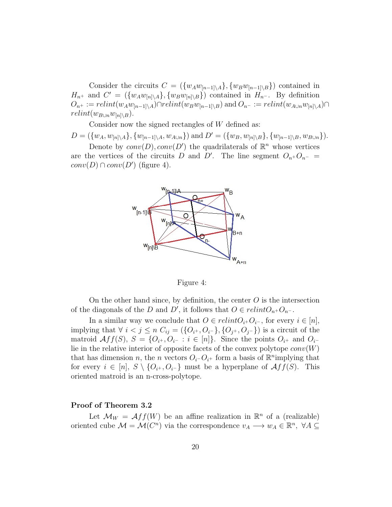Consider the circuits  $C = (\{w_A w_{[n-1] \setminus A}\}, \{w_B w_{[n-1] \setminus B}\})$  contained in  $H_{n^+}$  and  $C' = (\{w_A w_{[n] \setminus A}\}, \{w_B w_{[n] \setminus B}\})$  contained in  $H_{n^-}$ . By definition  $O_{n^+} := relint(w_A w_{[n-1] \setminus A}) \cap relint(w_B w_{[n-1] \setminus B})$  and  $O_{n^-} := relint(w_{A \cup n}w_{[n] \setminus A}) \cap$  $relint(w_{B\cup n}w_{[n]\setminus B}).$ 

Consider now the signed rectangles of  $W$  defined as:

 $D = (\{w_A, w_{[n] \setminus A}\}, \{w_{[n-1] \setminus A}, w_{A \cup n}\})$  and  $D' = (\{w_B, w_{[n] \setminus B}\}, \{w_{[n-1] \setminus B}, w_{B \cup n}\}).$ 

Denote by  $conv(D)$ ,  $conv(D')$  the quadrilaterals of  $\mathbb{R}^n$  whose vertices are the vertices of the circuits D and D'. The line segment  $O_{n+}O_{n-}$  $conv(D) \cap conv(D')$  (figure 4).



Figure 4:

On the other hand since, by definition, the center  $O$  is the intersection of the diagonals of the D and D', it follows that  $O \in relint O_{n+} O_{n-}$ .

In a similar way we conclude that  $O \in relint O_{i^+} O_{i^-}$ , for every  $i \in [n]$ , implying that  $\forall i < j \le n$   $C_{ij} = (\{O_{i^+}, O_{i^-}\}, \{O_{j^+}, O_{j^-}\})$  is a circuit of the matroid  $Aff(S)$ ,  $S = \{O_{i^+}, O_{i^-} : i \in [n]\}.$  Since the points  $O_{i^+}$  and  $O_{i^-}$ lie in the relative interior of opposite facets of the convex polytope  $conv(W)$ that has dimension n, the n vectors  $O_i$ - $O_i$ + form a basis of  $\mathbb{R}^n$  implying that for every  $i \in [n], S \setminus \{O_{i^+}, O_{i^-}\}\$  must be a hyperplane of  $\mathcal{A}ff(S)$ . This oriented matroid is an n-cross-polytope.

#### Proof of Theorem 3.2

Let  $\mathcal{M}_W = \mathcal{A}ff(W)$  be an affine realization in  $\mathbb{R}^n$  of a (realizable) oriented cube  $\mathcal{M} = \mathcal{M}(C^n)$  via the correspondence  $v_A \longrightarrow w_A \in \mathbb{R}^n$ ,  $\forall A \subseteq$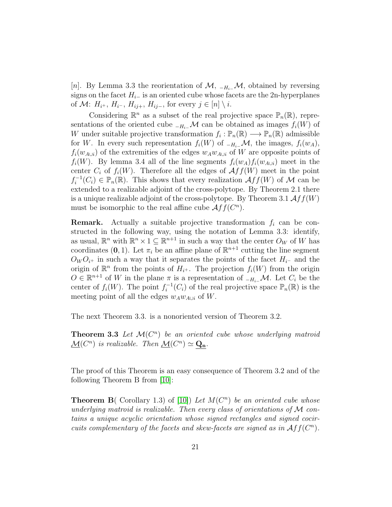[n]. By Lemma 3.3 the reorientation of  $\mathcal{M}, \mu_{H_i} \mathcal{M}$ , obtained by reversing signs on the facet  $H_{i-}$  is an oriented cube whose facets are the 2n-hyperplanes of  $\mathcal{M}$ :  $H_{i^+}, H_{i^-}, H_{ij^+}, H_{ij^-},$  for every  $j \in [n] \setminus i$ .

Considering  $\mathbb{R}^n$  as a subset of the real projective space  $\mathbb{P}_n(\mathbb{R})$ , representations of the oriented cube  $_{-H_{i-}}\mathcal{M}$  can be obtained as images  $f_i(W)$  of W under suitable projective transformation  $f_i : \mathbb{P}_n(\mathbb{R}) \longrightarrow \mathbb{P}_n(\mathbb{R})$  admissible for W. In every such representation  $f_i(W)$  of  $_{-H_i} \mathcal{M}$ , the images,  $f_i(w_A)$ ,  $f_i(w_{A\cup i})$  of the extremities of the edges  $w_Aw_{A\cup i}$  of W are opposite points of  $f_i(W)$ . By lemma 3.4 all of the line segments  $f_i(w_A)f_i(w_{A\cup i})$  meet in the center  $C_i$  of  $f_i(W)$ . Therefore all the edges of  $\mathcal{A}ff(W)$  meet in the point  $f_i^{-1}$  $i_i^{-1}(C_i) \in \mathbb{P}_n(\mathbb{R})$ . This shows that every realization  $\mathcal{A}ff(W)$  of M can be extended to a realizable adjoint of the cross-polytope. By Theorem 2.1 there is a unique realizable adjoint of the cross-polytope. By Theorem 3.1  $Aff(W)$ must be isomorphic to the real affine cube  $\mathcal{A}ff(C^n)$ .

**Remark.** Actually a suitable projective transformation  $f_i$  can be constructed in the following way, using the notation of Lemma 3.3: identify, as usual,  $\mathbb{R}^n$  with  $\mathbb{R}^n \times 1 \subseteq \mathbb{R}^{n+1}$  in such a way that the center  $O_W$  of W has coordinates (0, 1). Let  $\pi_i$  be an affine plane of  $\mathbb{R}^{n+1}$  cutting the line segment  $O_W O_{i^+}$  in such a way that it separates the points of the facet  $H_{i^-}$  and the origin of  $\mathbb{R}^n$  from the points of  $H_{i^+}$ . The projection  $f_i(W)$  from the origin  $O \in \mathbb{R}^{n+1}$  of W in the plane  $\pi$  is a representation of  $_{-H_i} \mathcal{M}$ . Let  $C_i$  be the center of  $f_i(W)$ . The point  $f_i^{-1}$  $i_i^{-1}(C_i)$  of the real projective space  $\mathbb{P}_n(\mathbb{R})$  is the meeting point of all the edges  $w_A w_{A\cup i}$  of W.

The next Theorem 3.3. is a nonoriented version of Theorem 3.2.

**Theorem 3.3** Let  $\mathcal{M}(C^n)$  be an oriented cube whose underlying matroid  $\underline{\mathcal{M}}(C^n)$  is realizable. Then  $\underline{\mathcal{M}}(C^n) \simeq \mathbf{Q}_n$ .

The proof of this Theorem is an easy consequence of Theorem 3.2 and of the following Theorem B from [\[10\]](#page-22-0):

**Theorem B**(Corollary 1.3) of [\[10\]](#page-22-0)) Let  $M(C<sup>n</sup>)$  be an oriented cube whose underlying matroid is realizable. Then every class of orientations of  $\mathcal M$  contains a unique acyclic orientation whose signed rectangles and signed cocircuits complementary of the facets and skew-facets are signed as in  $Aff(C<sup>n</sup>)$ .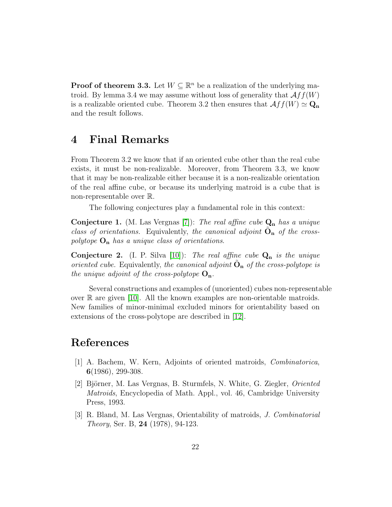**Proof of theorem 3.3.** Let  $W \subseteq \mathbb{R}^n$  be a realization of the underlying matroid. By lemma 3.4 we may assume without loss of generality that  $\mathcal{A}ff(W)$ is a realizable oriented cube. Theorem 3.2 then ensures that  $\mathcal{A}ff(W) \simeq \mathbf{Q}_n$ and the result follows.

# 4 Final Remarks

From Theorem 3.2 we know that if an oriented cube other than the real cube exists, it must be non-realizable. Moreover, from Theorem 3.3, we know that it may be non-realizable either because it is a non-realizable orientation of the real affine cube, or because its underlying matroid is a cube that is non-representable over R.

The following conjectures play a fundamental role in this context:

**Conjecture 1.** (M. Las Vergnas [\[7\]](#page-22-5)): The real affine cube  $\mathbf{Q_n}$  has a unique class of orientations. Equivalently, the canonical adjoint  $\tilde{O}_n$  of the crosspolytope  $O_n$  has a unique class of orientations.

**Conjecture 2.** (I. P. Silva [\[10\]](#page-22-0)): The real affine cube  $Q_n$  is the unique oriented cube. Equivalently, the canonical adjoint  $\tilde{O}_n$  of the cross-polytope is the unique adjoint of the cross-polytope  $O_n$ .

Several constructions and examples of (unoriented) cubes non-representable over  $\mathbb R$  are given [\[10\]](#page-22-0). All the known examples are non-orientable matroids. New families of minor-minimal excluded minors for orientability based on extensions of the cross-polytope are described in [\[12\]](#page-22-6).

### References

- <span id="page-21-2"></span>[1] A. Bachem, W. Kern, Adjoints of oriented matroids, Combinatorica, 6(1986), 299-308.
- <span id="page-21-0"></span>[2] Björner, M. Las Vergnas, B. Sturmfels, N. White, G. Ziegler, Oriented Matroids, Encyclopedia of Math. Appl., vol. 46, Cambridge University Press, 1993.
- <span id="page-21-1"></span>[3] R. Bland, M. Las Vergnas, Orientability of matroids, J. Combinatorial Theory, Ser. B, 24 (1978), 94-123.